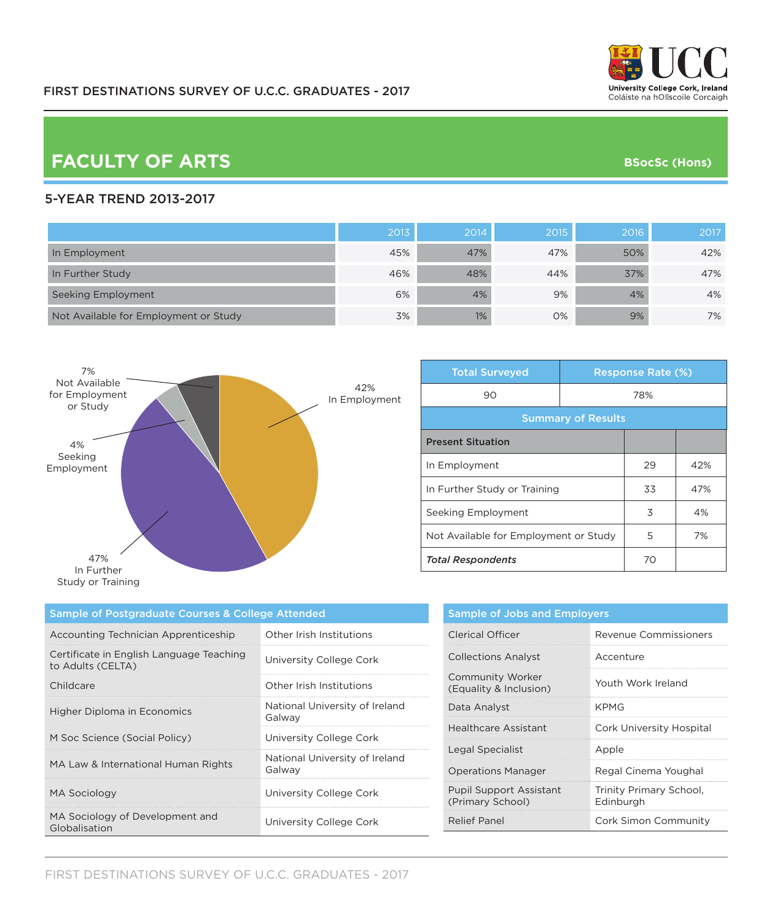

# **FACULTY OF ARTS BSocSc (Hons)**

#### 5-YEAR TREND 2013-2017

|                                       | 2013 | 2014 | 2015' | 2016 | 2017 |
|---------------------------------------|------|------|-------|------|------|
| In Employment                         | 45%  | 47%  | 47%   | 50%  | 42%  |
| In Further Study                      | 46%  | 48%  | 44%   | 37%  | 47%  |
| Seeking Employment                    | 6%   | 4%   | 9%    | 4%   | 4%   |
| Not Available for Employment or Study | 3%   | 1%   | 0%    | 9%   | 7%   |



| <b>Total Surveyed</b>                 |     | <b>Response Rate (%)</b> |     |
|---------------------------------------|-----|--------------------------|-----|
| 90                                    | 78% |                          |     |
| <b>Summary of Results</b>             |     |                          |     |
| <b>Present Situation</b>              |     |                          |     |
| In Employment                         |     | 29                       | 42% |
| In Further Study or Training          |     | 33                       | 47% |
| Seeking Employment                    |     | 3                        | 4%  |
| Not Available for Employment or Study |     | 5                        | 7%  |
| <b>Total Respondents</b>              |     | 70                       |     |

| Sample of Postgraduate Courses & College Attended             |                                          |  |
|---------------------------------------------------------------|------------------------------------------|--|
| Accounting Technician Apprenticeship                          | Other Irish Institutions                 |  |
| Certificate in English Language Teaching<br>to Adults (CELTA) | University College Cork                  |  |
| Childcare                                                     | Other Irish Institutions                 |  |
| Higher Diploma in Economics                                   | National University of Ireland<br>Galway |  |
| M Soc Science (Social Policy)                                 | University College Cork                  |  |
| MA Law & International Human Rights                           | National University of Ireland<br>Galway |  |
| <b>MA Sociology</b>                                           | University College Cork                  |  |
| MA Sociology of Development and<br>Globalisation              | University College Cork                  |  |

| <b>Sample of Jobs and Employers</b>                |                                      |  |
|----------------------------------------------------|--------------------------------------|--|
| Clerical Officer                                   | Revenue Commissioners                |  |
| <b>Collections Analyst</b>                         | Accenture                            |  |
| <b>Community Worker</b><br>(Equality & Inclusion)  | Youth Work Ireland                   |  |
| Data Analyst                                       | KPMG                                 |  |
| <b>Healthcare Assistant</b>                        | Cork University Hospital             |  |
| Legal Specialist                                   | Apple                                |  |
| <b>Operations Manager</b>                          | Regal Cinema Youghal                 |  |
| <b>Pupil Support Assistant</b><br>(Primary School) | Trinity Primary School,<br>Edinburgh |  |
| <b>Relief Panel</b>                                | Cork Simon Community                 |  |